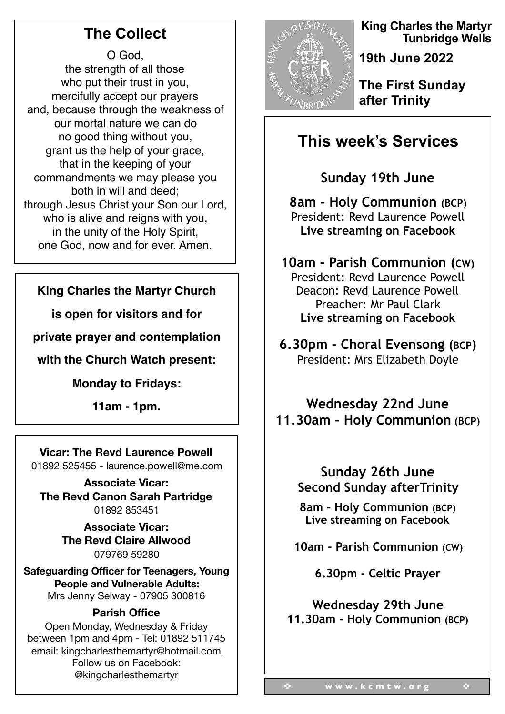# **The Collect**

O God, the strength of all those who put their trust in you, mercifully accept our prayers and, because through the weakness of our mortal nature we can do no good thing without you, grant us the help of your grace, that in the keeping of your commandments we may please you both in will and deed; through Jesus Christ your Son our Lord, who is alive and reigns with you. in the unity of the Holy Spirit, one God, now and for ever. Amen.

### **King Charles the Martyr Church**

**is open for visitors and for** 

**private prayer and contemplation** 

**with the Church Watch present:**

**Monday to Fridays:**

**11am - 1pm.**

### **Vicar: The Revd Laurence Powell**

01892 525455 - laurence.powell@me.com

**Associate Vicar: The Revd Canon Sarah Partridge**  01892 853451

> **Associate Vicar: The Revd Claire Allwood**  079769 59280

**Safeguarding Officer for Teenagers, Young People and Vulnerable Adults:** Mrs Jenny Selway - 07905 300816

#### **Parish Office**

Open Monday, Wednesday & Friday between 1pm and 4pm - Tel: 01892 511745 email: kingcharlesthemartyr@hotmail.com Follow us on Facebook: @kingcharlesthemartyr



**King Charles the Martyr Tunbridge Wells** 

**19th June 2022** 

**The First Sunday after Trinity** 

# **This week's Services**

**Sunday 19th June** 

**8am - Holy Communion (BCP)**  President: Revd Laurence Powell **Live streaming on Facebook** 

**10am - Parish Communion (CW)**  President: Revd Laurence Powell Deacon: Revd Laurence Powell Preacher: Mr Paul Clark **Live streaming on Facebook** 

**6.30pm - Choral Evensong (BCP)**  President: Mrs Elizabeth Doyle

**Wednesday 22nd June 11.30am - Holy Communion (BCP)** 

### **Sunday 26th June Second Sunday afterTrinity**

**8am - Holy Communion (BCP) Live streaming on Facebook** 

**10am - Parish Communion (CW)** 

**6.30pm - Celtic Prayer** 

**Wednesday 29th June 11.30am - Holy Communion (BCP)**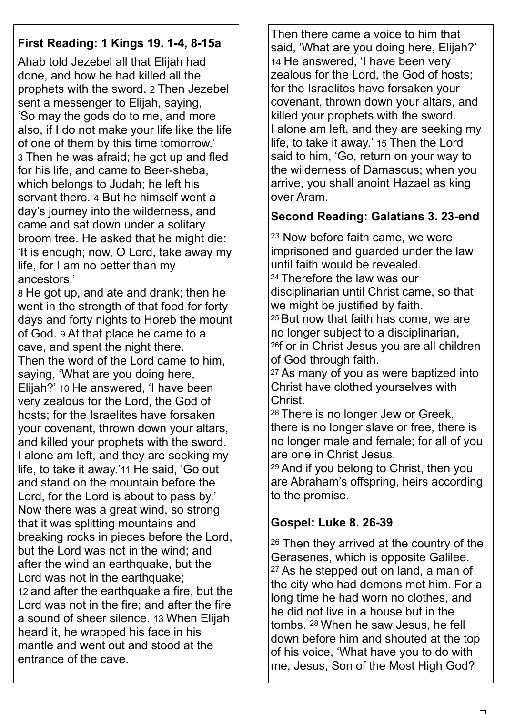## **First Reading: 1 Kings 19. 1-4, 8-15a**

Ahab told Jezebel all that Elijah had done, and how he had killed all the prophets with the sword. 2 Then Jezebel sent a messenger to Elijah, saying, 'So may the gods do to me, and more also, if I do not make your life like the life of one of them by this time tomorrow.' 3 Then he was afraid; he got up and fled for his life, and came to Beer-sheba, which belongs to Judah; he left his servant there. 4 But he himself went a day's journey into the wilderness, and came and sat down under a solitary broom tree. He asked that he might die: 'It is enough; now, O Lord, take away my life, for I am no better than my ancestors.'

8 He got up, and ate and drank; then he went in the strength of that food for forty days and forty nights to Horeb the mount of God. 9 At that place he came to a cave, and spent the night there. Then the word of the Lord came to him, saying, 'What are you doing here, Elijah?' 10 He answered, 'I have been very zealous for the Lord, the God of hosts; for the Israelites have forsaken your covenant, thrown down your altars, and killed your prophets with the sword. I alone am left, and they are seeking my life, to take it away.'11 He said, 'Go out and stand on the mountain before the Lord, for the Lord is about to pass by.' Now there was a great wind, so strong that it was splitting mountains and breaking rocks in pieces before the Lord, but the Lord was not in the wind; and after the wind an earthquake, but the Lord was not in the earthquake; 12 and after the earthquake a fire, but the Lord was not in the fire; and after the fire a sound of sheer silence. 13 When Elijah heard it, he wrapped his face in his mantle and went out and stood at the entrance of the cave.

Then there came a voice to him that said, 'What are you doing here, Elijah?' 14 He answered, 'I have been very zealous for the Lord, the God of hosts; for the Israelites have forsaken your covenant, thrown down your altars, and killed your prophets with the sword. I alone am left, and they are seeking my life, to take it away.' 15 Then the Lord said to him, 'Go, return on your way to the wilderness of Damascus; when you arrive, you shall anoint Hazael as king over Aram.

### **Second Reading: Galatians 3. 23-end**

23 Now before faith came, we were imprisoned and guarded under the law until faith would be revealed. 24 Therefore the law was our disciplinarian until Christ came, so that we might be justified by faith. 25 But now that faith has come, we are no longer subject to a disciplinarian, 26f or in Christ Jesus you are all children

of God through faith.

27 As many of you as were baptized into Christ have clothed yourselves with Christ.

28 There is no longer Jew or Greek, there is no longer slave or free, there is no longer male and female; for all of you are one in Christ Jesus.

29 And if you belong to Christ, then you are Abraham's offspring, heirs according to the promise.

### **Gospel: Luke 8. 26-39**

26 Then they arrived at the country of the Gerasenes, which is opposite Galilee. 27 As he stepped out on land, a man of the city who had demons met him. For a long time he had worn no clothes, and he did not live in a house but in the tombs. 28 When he saw Jesus, he fell down before him and shouted at the top of his voice, 'What have you to do with me, Jesus, Son of the Most High God?